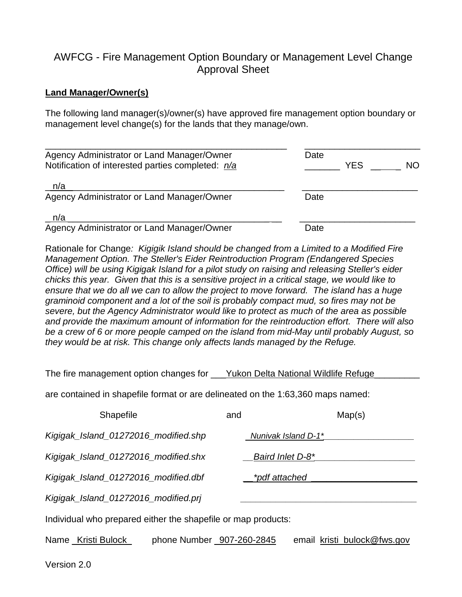## AWFCG - Fire Management Option Boundary or Management Level Change Approval Sheet

## **Land Manager/Owner(s)**

The following land manager(s)/owner(s) have approved fire management option boundary or management level change(s) for the lands that they manage/own.

| Agency Administrator or Land Manager/Owner<br>Notification of interested parties completed: n/a | Date<br><b>YES</b><br><b>NO</b> |
|-------------------------------------------------------------------------------------------------|---------------------------------|
| n/a<br>Agency Administrator or Land Manager/Owner                                               | Date                            |
| n/a<br>Agency Administrator or Land Manager/Owner                                               | Date                            |

Rationale for Change*: Kigigik Island should be changed from a Limited to a Modified Fire Management Option. The Steller's Eider Reintroduction Program (Endangered Species Office) will be using Kigigak Island for a pilot study on raising and releasing Steller's eider chicks this year. Given that this is a sensitive project in a critical stage, we would like to ensure that we do all we can to allow the project to move forward. The island has a huge graminoid component and a lot of the soil is probably compact mud, so fires may not be severe, but the Agency Administrator would like to protect as much of the area as possible and provide the maximum amount of information for the reintroduction effort. There will also be a crew of 6 or more people camped on the island from mid-May until probably August, so they would be at risk. This change only affects lands managed by the Refuge.*

The fire management option changes for Yukon Delta National Wildlife Refuge

are contained in shapefile format or are delineated on the 1:63,360 maps named:

| Shapefile                                                     | and           | Map(s)                      |
|---------------------------------------------------------------|---------------|-----------------------------|
| Kigigak_Island_01272016_modified.shp                          |               | Nunivak Island D-1*         |
| Kigigak_Island_01272016_modified.shx                          |               | Baird Inlet D-8*            |
| Kigigak_Island_01272016_modified.dbf                          | *pdf attached |                             |
| Kigigak_Island_01272016_modified.prj                          |               |                             |
| Individual who prepared either the shapefile or map products: |               |                             |
| phone Number _907-260-2845<br>Name _Kristi Bulock_            |               | email kristi_bulock@fws.gov |

Version 2.0